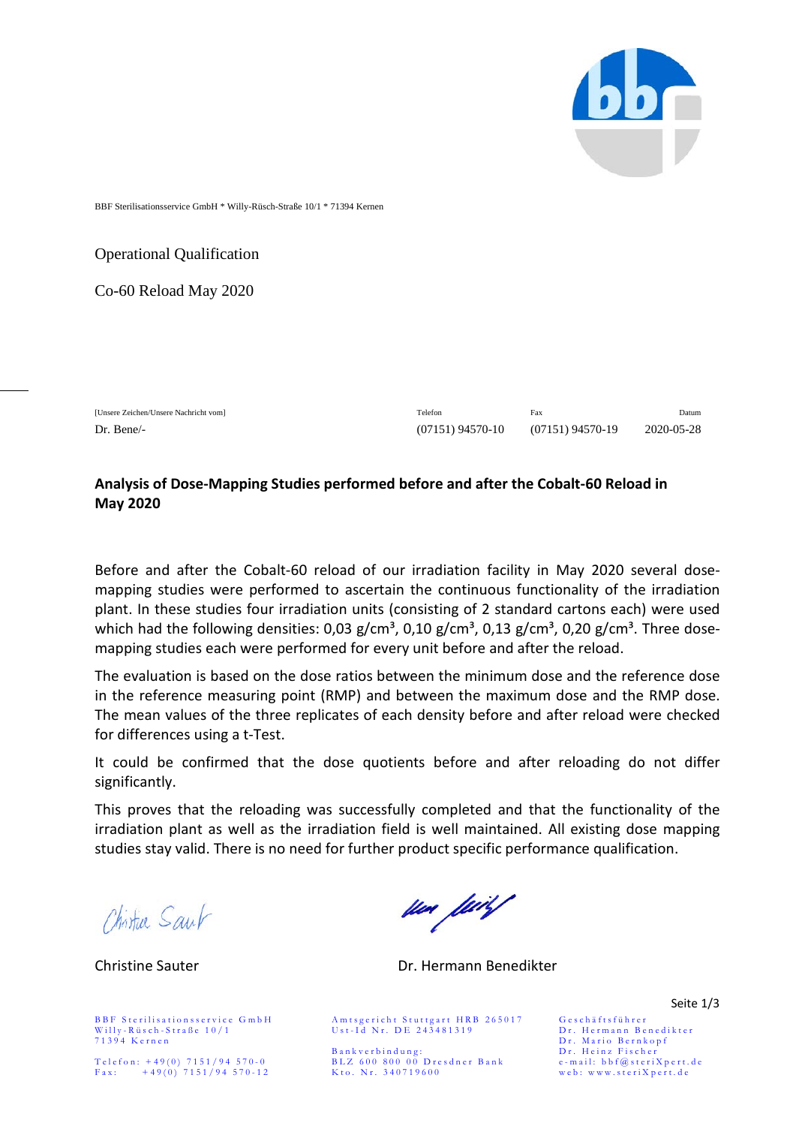

BBF Sterilisationsservice GmbH \* Willy-Rüsch-Straße 10/1 \* 71394 Kernen

Operational Qualification

Co-60 Reload May 2020

[Unsere Zeichen/Unsere Nachricht vom] Telefon Fax Datum Dr. Bene/- (07151) 94570-10 (07151) 94570-19 2020-05-28

## **Analysis of Dose-Mapping Studies performed before and after the Cobalt-60 Reload in May 2020**

Before and after the Cobalt-60 reload of our irradiation facility in May 2020 several dosemapping studies were performed to ascertain the continuous functionality of the irradiation plant. In these studies four irradiation units (consisting of 2 standard cartons each) were used which had the following densities:  $0.03$  g/cm<sup>3</sup>,  $0.10$  g/cm<sup>3</sup>,  $0.13$  g/cm<sup>3</sup>,  $0.20$  g/cm<sup>3</sup>. Three dosemapping studies each were performed for every unit before and after the reload.

The evaluation is based on the dose ratios between the minimum dose and the reference dose in the reference measuring point (RMP) and between the maximum dose and the RMP dose. The mean values of the three replicates of each density before and after reload were checked for differences using a t-Test.

It could be confirmed that the dose quotients before and after reloading do not differ significantly.

This proves that the reloading was successfully completed and that the functionality of the irradiation plant as well as the irradiation field is well maintained. All existing dose mapping studies stay valid. There is no need for further product specific performance qualification.

Chistur Saul

Willy-Rüsch-Straße 10/1 Ust-Id Nr. DE 243481319 Dr. Hermann Benedikter<br>71394 Kernen Dr. Mario Bernkopf

sen feil

Christine Sauter Dr. Hermann Benedikter

BBF Sterilisationsservice GmbH Amtsgericht Stuttgart HRB 265017 Geschäftsführer<br>Willy-Rüsch-Straße 10/1 Ust-1d Nr. DE 243481319 Dr. Hermann Be

Bankverbindung: Dr. Heinz Fischer Telefon: +49(0) 7151/94 570 - 0 BLZ 600 800 00 Dresdner Bank e - mail: bbf@st e riXpert.de Fax: +49(0) 7151/94 570-12 Kto. Nr. 340719600 web: www.steriXpert.de

Seite 1/3

Dr. Mario Bernkopf<br>Dr. Heinz Fischer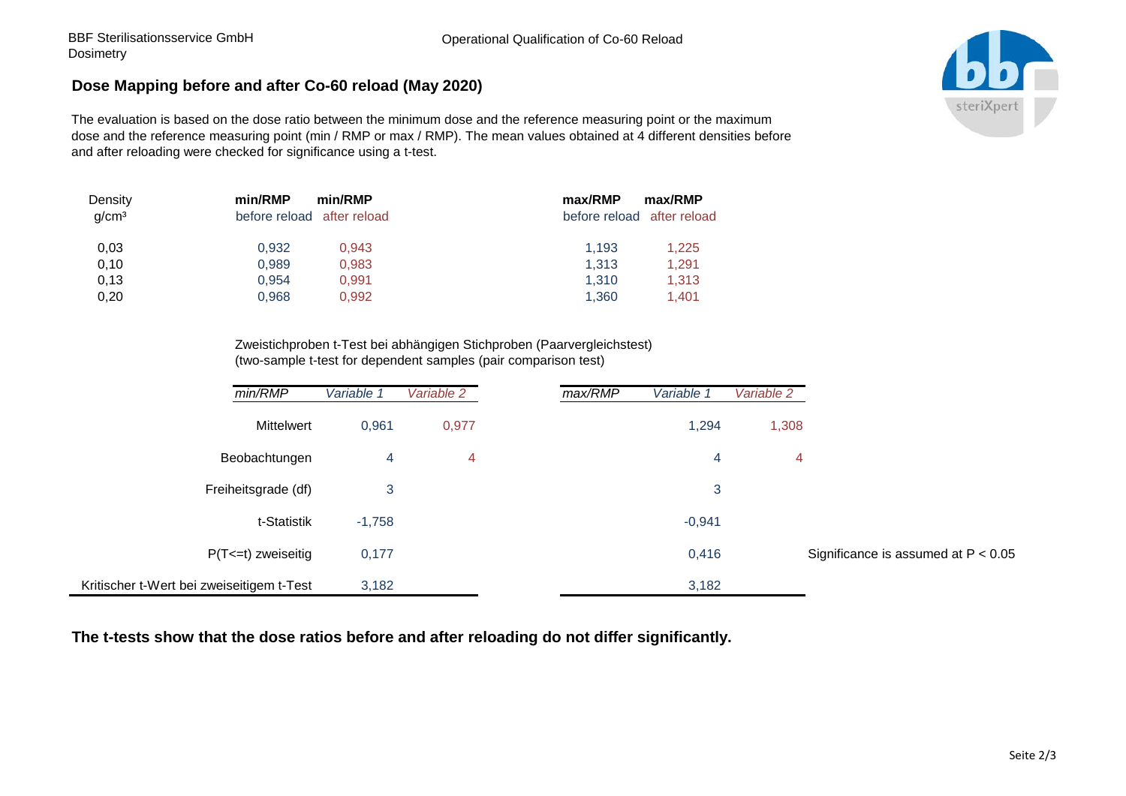## **Dose Mapping before and after Co-60 reload (May 2020)**

The evaluation is based on the dose ratio between the minimum dose and the reference measuring point or the maximum dose and the reference measuring point (min / RMP or max / RMP). The mean values obtained at 4 different densities before and after reloading were checked for significance using a t-test.

| Density<br>g/cm <sup>3</sup> | min/RMP<br>min/RMP<br>before reload after reload | max/RMP<br>max/RMP<br>before reload after reload |
|------------------------------|--------------------------------------------------|--------------------------------------------------|
| 0,03                         | 0,932<br>0,943                                   | 1.193<br>1,225                                   |
| 0,10                         | 0,989<br>0,983                                   | 1,313<br>1,291                                   |
| 0,13                         | 0,954<br>0,991                                   | 1,310<br>1,313                                   |
| 0,20                         | 0,968<br>0,992                                   | 1,360<br>1,401                                   |

Zweistichproben t-Test bei abhängigen Stichproben (Paarvergleichstest) (two-sample t-test for dependent samples (pair comparison test)

| min/RMP                                   | Variable 1 | Variable 2 | max/RMP | Variable 1 | Variable 2 |                                       |
|-------------------------------------------|------------|------------|---------|------------|------------|---------------------------------------|
| Mittelwert                                | 0,961      | 0,977      |         | 1,294      | 1,308      |                                       |
| Beobachtungen                             | 4          | 4          |         | 4          | 4          |                                       |
| Freiheitsgrade (df)                       | 3          |            |         | 3          |            |                                       |
| t-Statistik                               | $-1,758$   |            |         | $-0,941$   |            |                                       |
| $P(T \le t)$ zweiseitig                   | 0,177      |            |         | 0,416      |            | Significance is assumed at $P < 0.05$ |
| Kritischer t-Wert bei zweiseitigem t-Test | 3,182      |            |         | 3,182      |            |                                       |

**The t-tests show that the dose ratios before and after reloading do not differ significantly.**